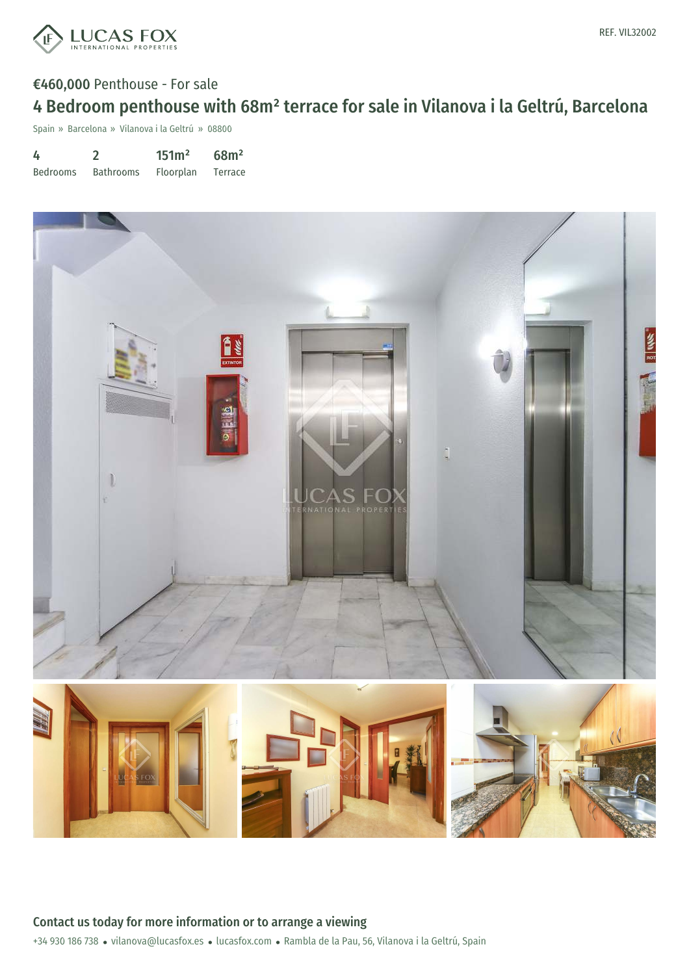

# €460,000 Penthouse - For sale 4 Bedroom penthouse with 68m² terrace for sale in Vilanova i la Geltrú, Barcelona

Spain » Barcelona » Vilanova i la Geltrú » 08800

| 4               |                  | 151 <sup>2</sup> | 68m <sup>2</sup> |
|-----------------|------------------|------------------|------------------|
| <b>Bedrooms</b> | <b>Bathrooms</b> | Floorplan        | Terrace          |



+34 930 186 738 · vilanova@lucasfox.es · lucasfox.com · Rambla de la Pau, 56, Vilanova i la Geltrú, Spain Contact us today for more information or to arrange a viewing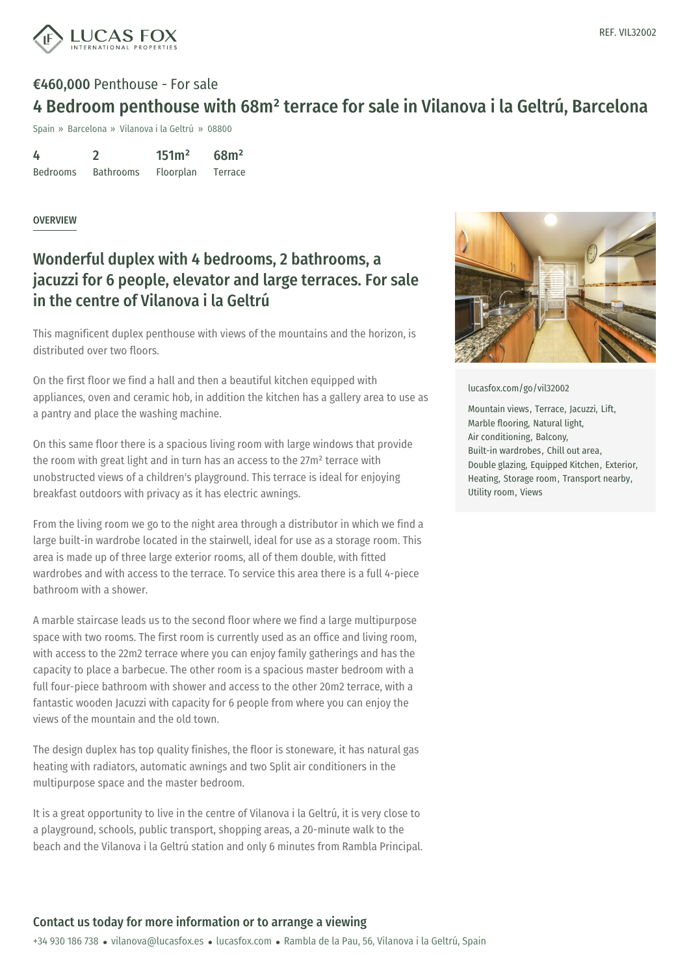

## €460,000 Penthouse - For sale 4 Bedroom penthouse with 68m² terrace for sale in Vilanova i la Geltrú, Barcelona

Spain » Barcelona » Vilanova i la Geltrú » 08800

| 4               |                  | 151 <sup>m²</sup> | 68m <sup>2</sup> |
|-----------------|------------------|-------------------|------------------|
| <b>Bedrooms</b> | <b>Bathrooms</b> | Floorplan         | Terrace          |

#### OVERVIEW

## Wonderful duplex with 4 bedrooms, 2 bathrooms, a jacuzzi for 6 people, elevator and large terraces. For sale in the centre of Vilanova i la Geltrú

This magnificent duplex penthouse with views of the mountains and the horizon, is distributed over two floors.

On the first floor we find a hall and then a beautiful kitchen equipped with appliances, oven and ceramic hob, in addition the kitchen has a gallery area to use as a pantry and place the washing machine.

On this same floor there is a spacious living room with large windows that provide the room with great light and in turn has an access to the 27m² terrace with unobstructed views of a children's playground. This terrace is ideal for enjoying breakfast outdoors with privacy as it has electric awnings.

From the living room we go to the night area through a distributor in which we find a large built-in wardrobe located in the stairwell, ideal for use as a storage room. This area is made up of three large exterior rooms, all of them double, with fitted wardrobes and with access to the terrace. To service this area there is a full 4-piece bathroom with a shower.

A marble staircase leads us to the second floor where we find a large multipurpose space with two rooms. The first room is currently used as an office and living room, with access to the 22m2 terrace where you can enjoy family gatherings and has the capacity to place a barbecue. The other room is a spacious master bedroom with a full four-piece bathroom with shower and access to the other 20m2 terrace, with a fantastic wooden Jacuzzi with capacity for 6 people from where you can enjoy the views of the mo[untain](mailto:vilanova@lucasfox.es) and the old tow[n.](https://www.lucasfox.com)

The design duplex has top quality finishes, the floor is stoneware, it has natural gas heating with radiators, automatic awnings and two Split air conditioners in the multipurpose space and the master bedroom.

It is a great opportunity to live in the centre of Vilanova i la Geltrú, it is very close to a playground, schools, public transport, shopping areas, a 20-minute walk to the beach and the Vilanova i la Geltrú station and only 6 minutes from Rambla Principal.



[lucasfox.com/go/vil32002](https://www.lucasfox.com/go/vil32002)

Mountain views, Terrace, Jacuzzi, Lift, Marble flooring, Natural light, Air conditioning, Balcony, Built-in wardrobes, Chill out area, Double glazing, Equipped Kitchen, Exterior, Heating, Storage room, Transport nearby, Utility room, Views

#### Contact us today for more information or to arrange a viewing

+34 930 186 738 · vilanova@lucasfox.es · lucasfox.com · Rambla de la Pau, 56, Vilanova i la Geltrú, Spain